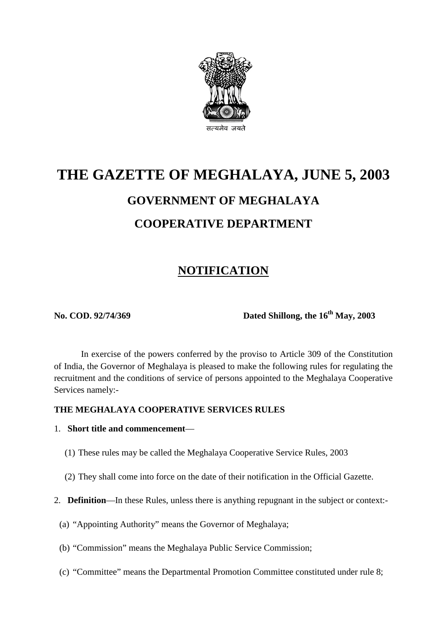

# **THE GAZETTE OF MEGHALAYA, JUNE 5, 2003 GOVERNMENT OF MEGHALAYA COOPERATIVE DEPARTMENT**

# **NOTIFICATION**

**No. COD. 92/74/369 Dated Shillong, the 16<sup>th</sup> May, 2003** 

In exercise of the powers conferred by the proviso to Article 309 of the Constitution of India, the Governor of Meghalaya is pleased to make the following rules for regulating the recruitment and the conditions of service of persons appointed to the Meghalaya Cooperative Services namely:-

#### **THE MEGHALAYA COOPERATIVE SERVICES RULES**

#### 1. **Short title and commencement**—

- (1) These rules may be called the Meghalaya Cooperative Service Rules, 2003
- (2) They shall come into force on the date of their notification in the Official Gazette.
- 2. **Definition**—In these Rules, unless there is anything repugnant in the subject or context:-
	- (a) "Appointing Authority" means the Governor of Meghalaya;
	- (b) "Commission" means the Meghalaya Public Service Commission;
	- (c) "Committee" means the Departmental Promotion Committee constituted under rule 8;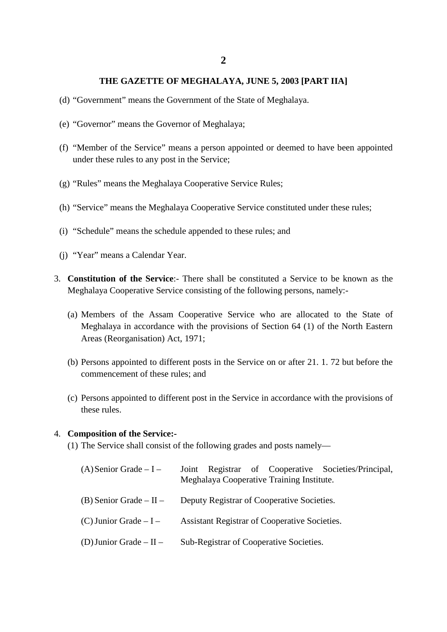- (d) "Government" means the Government of the State of Meghalaya.
- (e) "Governor" means the Governor of Meghalaya;
- (f) "Member of the Service" means a person appointed or deemed to have been appointed under these rules to any post in the Service;
- (g) "Rules" means the Meghalaya Cooperative Service Rules;
- (h) "Service" means the Meghalaya Cooperative Service constituted under these rules;
- (i) "Schedule" means the schedule appended to these rules; and
- (j) "Year" means a Calendar Year.
- 3. **Constitution of the Service**:- There shall be constituted a Service to be known as the Meghalaya Cooperative Service consisting of the following persons, namely:-
	- (a) Members of the Assam Cooperative Service who are allocated to the State of Meghalaya in accordance with the provisions of Section 64 (1) of the North Eastern Areas (Reorganisation) Act, 1971;
	- (b) Persons appointed to different posts in the Service on or after 21. 1. 72 but before the commencement of these rules; and
	- (c) Persons appointed to different post in the Service in accordance with the provisions of these rules.

#### 4. **Composition of the Service:-**

(1) The Service shall consist of the following grades and posts namely—

| $(A)$ Senior Grade – I –    | Joint Registrar of Cooperative Societies/Principal,<br>Meghalaya Cooperative Training Institute. |
|-----------------------------|--------------------------------------------------------------------------------------------------|
| (B) Senior Grade $-$ II $-$ | Deputy Registrar of Cooperative Societies.                                                       |
| $(C)$ Junior Grade $-I -$   | Assistant Registrar of Cooperative Societies.                                                    |
| (D) Junior Grade $-$ II $-$ | Sub-Registrar of Cooperative Societies.                                                          |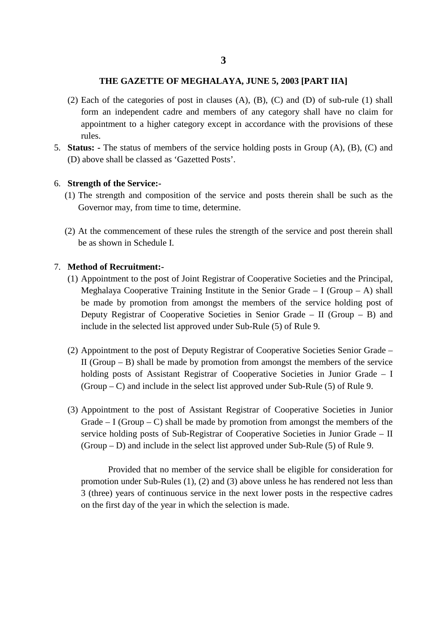- (2) Each of the categories of post in clauses (A), (B), (C) and (D) of sub-rule (1) shall form an independent cadre and members of any category shall have no claim for appointment to a higher category except in accordance with the provisions of these rules.
- 5. **Status: -** The status of members of the service holding posts in Group (A), (B), (C) and (D) above shall be classed as 'Gazetted Posts'.

#### 6. **Strength of the Service:-**

- (1) The strength and composition of the service and posts therein shall be such as the Governor may, from time to time, determine.
- (2) At the commencement of these rules the strength of the service and post therein shall be as shown in Schedule I.

#### 7. **Method of Recruitment:-**

- (1) Appointment to the post of Joint Registrar of Cooperative Societies and the Principal, Meghalaya Cooperative Training Institute in the Senior Grade  $-$  I (Group  $-$  A) shall be made by promotion from amongst the members of the service holding post of Deputy Registrar of Cooperative Societies in Senior Grade – II (Group – B) and include in the selected list approved under Sub-Rule (5) of Rule 9.
- (2) Appointment to the post of Deputy Registrar of Cooperative Societies Senior Grade II (Group  $-$  B) shall be made by promotion from amongst the members of the service holding posts of Assistant Registrar of Cooperative Societies in Junior Grade – I  $(Group - C)$  and include in the select list approved under Sub-Rule (5) of Rule 9.
- (3) Appointment to the post of Assistant Registrar of Cooperative Societies in Junior Grade  $- I$  (Group  $- C$ ) shall be made by promotion from amongst the members of the service holding posts of Sub-Registrar of Cooperative Societies in Junior Grade – II (Group – D) and include in the select list approved under Sub-Rule (5) of Rule 9.

Provided that no member of the service shall be eligible for consideration for promotion under Sub-Rules (1), (2) and (3) above unless he has rendered not less than 3 (three) years of continuous service in the next lower posts in the respective cadres on the first day of the year in which the selection is made.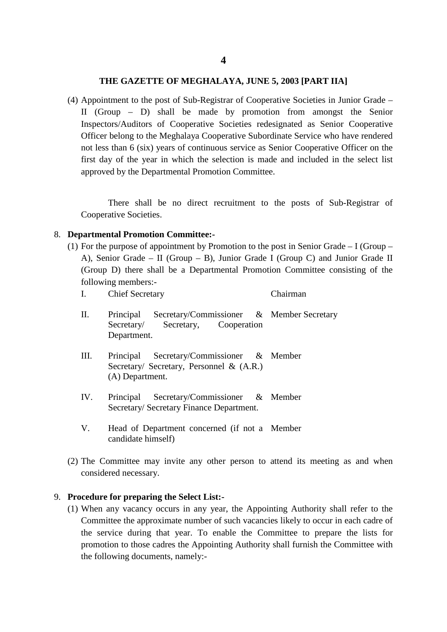(4) Appointment to the post of Sub-Registrar of Cooperative Societies in Junior Grade – II (Group – D) shall be made by promotion from amongst the Senior Inspectors/Auditors of Cooperative Societies redesignated as Senior Cooperative Officer belong to the Meghalaya Cooperative Subordinate Service who have rendered not less than 6 (six) years of continuous service as Senior Cooperative Officer on the first day of the year in which the selection is made and included in the select list approved by the Departmental Promotion Committee.

There shall be no direct recruitment to the posts of Sub-Registrar of Cooperative Societies.

#### 8. **Departmental Promotion Committee:-**

(1) For the purpose of appointment by Promotion to the post in Senior Grade – I (Group – A), Senior Grade – II (Group – B), Junior Grade I (Group C) and Junior Grade II (Group D) there shall be a Departmental Promotion Committee consisting of the following members:-

| I.   | <b>Chief Secretary</b>                                                                                                                                                                                                                                                                                     | Chairman |
|------|------------------------------------------------------------------------------------------------------------------------------------------------------------------------------------------------------------------------------------------------------------------------------------------------------------|----------|
| П.   | Principal Secretary/Commissioner & Member Secretary<br>Secretary Secretary, Cooperation<br>Department.                                                                                                                                                                                                     |          |
| III. | Principal Secretary/Commissioner & Member<br>Secretary/ Secretary, Personnel & $(A.R.)$<br>(A) Department.                                                                                                                                                                                                 |          |
| IV.  | Principal Secretary/Commissioner & Member<br>Secretary/Secretary Finance Department.                                                                                                                                                                                                                       |          |
|      | $\mathbf{H}$ if $\mathbf{D}$ if $\mathbf{D}$ if $\mathbf{D}$ if $\mathbf{D}$ if $\mathbf{D}$ if $\mathbf{D}$ if $\mathbf{D}$ if $\mathbf{D}$ if $\mathbf{D}$ if $\mathbf{D}$ if $\mathbf{D}$ if $\mathbf{D}$ if $\mathbf{D}$ if $\mathbf{D}$ if $\mathbf{D}$ if $\mathbf{D}$ if $\mathbf{D}$ if $\mathbf{$ |          |

- V. Head of Department concerned (if not a Member candidate himself)
- (2) The Committee may invite any other person to attend its meeting as and when considered necessary.

#### 9. **Procedure for preparing the Select List:-**

(1) When any vacancy occurs in any year, the Appointing Authority shall refer to the Committee the approximate number of such vacancies likely to occur in each cadre of the service during that year. To enable the Committee to prepare the lists for promotion to those cadres the Appointing Authority shall furnish the Committee with the following documents, namely:-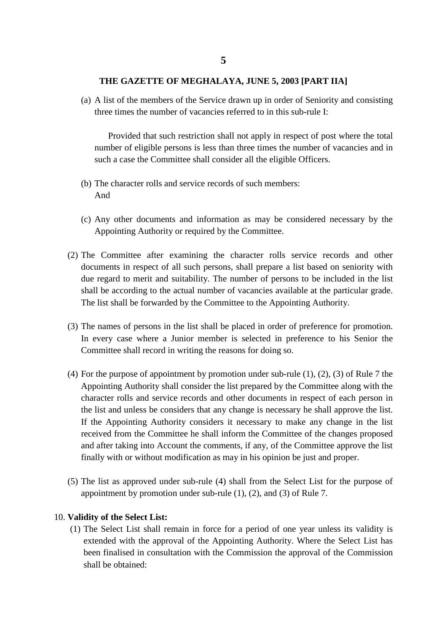(a) A list of the members of the Service drawn up in order of Seniority and consisting three times the number of vacancies referred to in this sub-rule I:

Provided that such restriction shall not apply in respect of post where the total number of eligible persons is less than three times the number of vacancies and in such a case the Committee shall consider all the eligible Officers.

- (b) The character rolls and service records of such members: And
- (c) Any other documents and information as may be considered necessary by the Appointing Authority or required by the Committee.
- (2) The Committee after examining the character rolls service records and other documents in respect of all such persons, shall prepare a list based on seniority with due regard to merit and suitability. The number of persons to be included in the list shall be according to the actual number of vacancies available at the particular grade. The list shall be forwarded by the Committee to the Appointing Authority.
- (3) The names of persons in the list shall be placed in order of preference for promotion. In every case where a Junior member is selected in preference to his Senior the Committee shall record in writing the reasons for doing so.
- (4) For the purpose of appointment by promotion under sub-rule (1), (2), (3) of Rule 7 the Appointing Authority shall consider the list prepared by the Committee along with the character rolls and service records and other documents in respect of each person in the list and unless be considers that any change is necessary he shall approve the list. If the Appointing Authority considers it necessary to make any change in the list received from the Committee he shall inform the Committee of the changes proposed and after taking into Account the comments, if any, of the Committee approve the list finally with or without modification as may in his opinion be just and proper.
- (5) The list as approved under sub-rule (4) shall from the Select List for the purpose of appointment by promotion under sub-rule (1), (2), and (3) of Rule 7.

#### 10. **Validity of the Select List:**

(1) The Select List shall remain in force for a period of one year unless its validity is extended with the approval of the Appointing Authority. Where the Select List has been finalised in consultation with the Commission the approval of the Commission shall be obtained: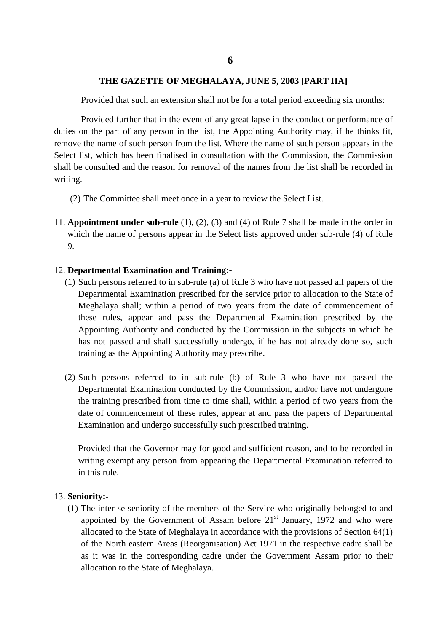Provided that such an extension shall not be for a total period exceeding six months:

Provided further that in the event of any great lapse in the conduct or performance of duties on the part of any person in the list, the Appointing Authority may, if he thinks fit, remove the name of such person from the list. Where the name of such person appears in the Select list, which has been finalised in consultation with the Commission, the Commission shall be consulted and the reason for removal of the names from the list shall be recorded in writing.

- (2) The Committee shall meet once in a year to review the Select List.
- 11. **Appointment under sub-rule** (1), (2), (3) and (4) of Rule 7 shall be made in the order in which the name of persons appear in the Select lists approved under sub-rule (4) of Rule 9.

#### 12. **Departmental Examination and Training:-**

- (1) Such persons referred to in sub-rule (a) of Rule 3 who have not passed all papers of the Departmental Examination prescribed for the service prior to allocation to the State of Meghalaya shall; within a period of two years from the date of commencement of these rules, appear and pass the Departmental Examination prescribed by the Appointing Authority and conducted by the Commission in the subjects in which he has not passed and shall successfully undergo, if he has not already done so, such training as the Appointing Authority may prescribe.
- (2) Such persons referred to in sub-rule (b) of Rule 3 who have not passed the Departmental Examination conducted by the Commission, and/or have not undergone the training prescribed from time to time shall, within a period of two years from the date of commencement of these rules, appear at and pass the papers of Departmental Examination and undergo successfully such prescribed training.

Provided that the Governor may for good and sufficient reason, and to be recorded in writing exempt any person from appearing the Departmental Examination referred to in this rule.

#### 13. **Seniority:-**

(1) The inter-se seniority of the members of the Service who originally belonged to and appointed by the Government of Assam before  $21<sup>st</sup>$  January, 1972 and who were allocated to the State of Meghalaya in accordance with the provisions of Section 64(1) of the North eastern Areas (Reorganisation) Act 1971 in the respective cadre shall be as it was in the corresponding cadre under the Government Assam prior to their allocation to the State of Meghalaya.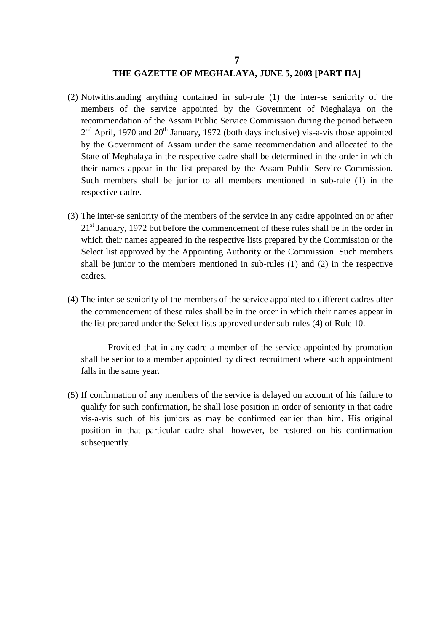- (2) Notwithstanding anything contained in sub-rule (1) the inter-se seniority of the members of the service appointed by the Government of Meghalaya on the recommendation of the Assam Public Service Commission during the period between  $2<sup>nd</sup>$  April, 1970 and  $20<sup>th</sup>$  January, 1972 (both days inclusive) vis-a-vis those appointed by the Government of Assam under the same recommendation and allocated to the State of Meghalaya in the respective cadre shall be determined in the order in which their names appear in the list prepared by the Assam Public Service Commission. Such members shall be junior to all members mentioned in sub-rule (1) in the respective cadre.
- (3) The inter-se seniority of the members of the service in any cadre appointed on or after 21<sup>st</sup> January, 1972 but before the commencement of these rules shall be in the order in which their names appeared in the respective lists prepared by the Commission or the Select list approved by the Appointing Authority or the Commission. Such members shall be junior to the members mentioned in sub-rules (1) and (2) in the respective cadres.
- (4) The inter-se seniority of the members of the service appointed to different cadres after the commencement of these rules shall be in the order in which their names appear in the list prepared under the Select lists approved under sub-rules (4) of Rule 10.

Provided that in any cadre a member of the service appointed by promotion shall be senior to a member appointed by direct recruitment where such appointment falls in the same year.

(5) If confirmation of any members of the service is delayed on account of his failure to qualify for such confirmation, he shall lose position in order of seniority in that cadre vis-a-vis such of his juniors as may be confirmed earlier than him. His original position in that particular cadre shall however, be restored on his confirmation subsequently.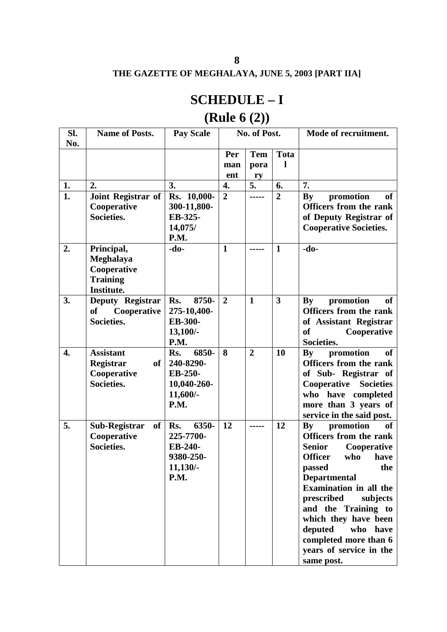# **SCHEDULE – I**

# **(Rule 6 (2))**

| Sl.<br>No.       | <b>Name of Posts.</b>                                                              | <b>Pay Scale</b>                                                                     |                | No. of Post.   |                | Mode of recruitment.                                                                                                                                                                                                                                                                                                                                                                                                                                      |
|------------------|------------------------------------------------------------------------------------|--------------------------------------------------------------------------------------|----------------|----------------|----------------|-----------------------------------------------------------------------------------------------------------------------------------------------------------------------------------------------------------------------------------------------------------------------------------------------------------------------------------------------------------------------------------------------------------------------------------------------------------|
|                  |                                                                                    |                                                                                      | Per            | <b>Tem</b>     | <b>Tota</b>    |                                                                                                                                                                                                                                                                                                                                                                                                                                                           |
|                  |                                                                                    |                                                                                      | man            | pora           | 1              |                                                                                                                                                                                                                                                                                                                                                                                                                                                           |
|                  |                                                                                    |                                                                                      | ent            | ry             |                |                                                                                                                                                                                                                                                                                                                                                                                                                                                           |
| 1.               | 2.                                                                                 | 3.                                                                                   | 4.             | 5.             | 6.             | 7.                                                                                                                                                                                                                                                                                                                                                                                                                                                        |
| $\overline{1}$ . | Joint Registrar of                                                                 | Rs. 10,000-                                                                          | $\overline{2}$ | -----          | $\overline{2}$ | promotion<br>By<br><b>of</b>                                                                                                                                                                                                                                                                                                                                                                                                                              |
|                  | Cooperative                                                                        | 300-11,800-                                                                          |                |                |                | <b>Officers from the rank</b>                                                                                                                                                                                                                                                                                                                                                                                                                             |
|                  | Societies.                                                                         | EB-325-                                                                              |                |                |                | of Deputy Registrar of                                                                                                                                                                                                                                                                                                                                                                                                                                    |
|                  |                                                                                    | 14,075/                                                                              |                |                |                | <b>Cooperative Societies.</b>                                                                                                                                                                                                                                                                                                                                                                                                                             |
|                  |                                                                                    | P.M.                                                                                 |                |                |                |                                                                                                                                                                                                                                                                                                                                                                                                                                                           |
| 2.               | Principal,                                                                         | $-do-$                                                                               | $\mathbf{1}$   |                | 1              | $-do-$                                                                                                                                                                                                                                                                                                                                                                                                                                                    |
|                  | Meghalaya<br>Cooperative                                                           |                                                                                      |                |                |                |                                                                                                                                                                                                                                                                                                                                                                                                                                                           |
|                  | <b>Training</b>                                                                    |                                                                                      |                |                |                |                                                                                                                                                                                                                                                                                                                                                                                                                                                           |
|                  | Institute.                                                                         |                                                                                      |                |                |                |                                                                                                                                                                                                                                                                                                                                                                                                                                                           |
| 3.               | Deputy Registrar                                                                   | 8750-<br>Rs.                                                                         | $\overline{2}$ | $\mathbf{1}$   | 3              | By<br>promotion<br>of                                                                                                                                                                                                                                                                                                                                                                                                                                     |
|                  | of<br>Cooperative                                                                  | 275-10,400-                                                                          |                |                |                | <b>Officers from the rank</b>                                                                                                                                                                                                                                                                                                                                                                                                                             |
|                  | Societies.                                                                         | EB-300-                                                                              |                |                |                | of Assistant Registrar                                                                                                                                                                                                                                                                                                                                                                                                                                    |
|                  |                                                                                    | $13,100/$ -                                                                          |                |                |                | Cooperative<br><b>of</b>                                                                                                                                                                                                                                                                                                                                                                                                                                  |
|                  |                                                                                    | P.M.                                                                                 |                |                |                | Societies.                                                                                                                                                                                                                                                                                                                                                                                                                                                |
| 4.               | <b>Assistant</b>                                                                   | 6850-<br>Rs.                                                                         | 8              | $\overline{2}$ | 10             | promotion<br>$\mathbf{B}\mathbf{y}$<br><b>of</b>                                                                                                                                                                                                                                                                                                                                                                                                          |
|                  |                                                                                    |                                                                                      |                |                |                |                                                                                                                                                                                                                                                                                                                                                                                                                                                           |
|                  |                                                                                    |                                                                                      |                |                |                |                                                                                                                                                                                                                                                                                                                                                                                                                                                           |
|                  |                                                                                    |                                                                                      |                |                |                |                                                                                                                                                                                                                                                                                                                                                                                                                                                           |
|                  |                                                                                    |                                                                                      |                |                |                |                                                                                                                                                                                                                                                                                                                                                                                                                                                           |
|                  |                                                                                    |                                                                                      |                |                |                |                                                                                                                                                                                                                                                                                                                                                                                                                                                           |
|                  |                                                                                    |                                                                                      |                |                |                |                                                                                                                                                                                                                                                                                                                                                                                                                                                           |
|                  |                                                                                    |                                                                                      |                |                |                |                                                                                                                                                                                                                                                                                                                                                                                                                                                           |
|                  | Societies.                                                                         | EB-240-                                                                              |                |                |                | <b>Senior</b>                                                                                                                                                                                                                                                                                                                                                                                                                                             |
|                  |                                                                                    | 9380-250-                                                                            |                |                |                | <b>Officer</b><br>who<br>have                                                                                                                                                                                                                                                                                                                                                                                                                             |
|                  |                                                                                    | 11,130/                                                                              |                |                |                | the<br>passed                                                                                                                                                                                                                                                                                                                                                                                                                                             |
|                  |                                                                                    | P.M.                                                                                 |                |                |                | <b>Departmental</b>                                                                                                                                                                                                                                                                                                                                                                                                                                       |
|                  |                                                                                    |                                                                                      |                |                |                |                                                                                                                                                                                                                                                                                                                                                                                                                                                           |
|                  |                                                                                    |                                                                                      |                |                |                |                                                                                                                                                                                                                                                                                                                                                                                                                                                           |
|                  |                                                                                    |                                                                                      |                |                |                |                                                                                                                                                                                                                                                                                                                                                                                                                                                           |
|                  |                                                                                    |                                                                                      |                |                |                |                                                                                                                                                                                                                                                                                                                                                                                                                                                           |
|                  |                                                                                    |                                                                                      |                |                |                |                                                                                                                                                                                                                                                                                                                                                                                                                                                           |
|                  |                                                                                    |                                                                                      |                |                |                |                                                                                                                                                                                                                                                                                                                                                                                                                                                           |
|                  |                                                                                    |                                                                                      |                |                |                |                                                                                                                                                                                                                                                                                                                                                                                                                                                           |
| 5.               | Registrar<br>of<br>Cooperative<br>Societies.<br>Sub-Registrar<br>of<br>Cooperative | 240-8290-<br>EB-250-<br>10,040-260-<br>11,600/-<br>P.M.<br>6350-<br>Rs.<br>225-7700- | 12             |                | 12             | <b>Officers from the rank</b><br>of Sub- Registrar of<br><b>Cooperative Societies</b><br>who have completed<br>more than 3 years of<br>service in the said post.<br>$\mathbf{B}\mathbf{y}$<br>promotion<br>of<br><b>Officers from the rank</b><br>Cooperative<br>Examination in all the<br>prescribed<br>subjects<br>and the Training to<br>which they have been<br>who have<br>deputed<br>completed more than 6<br>years of service in the<br>same post. |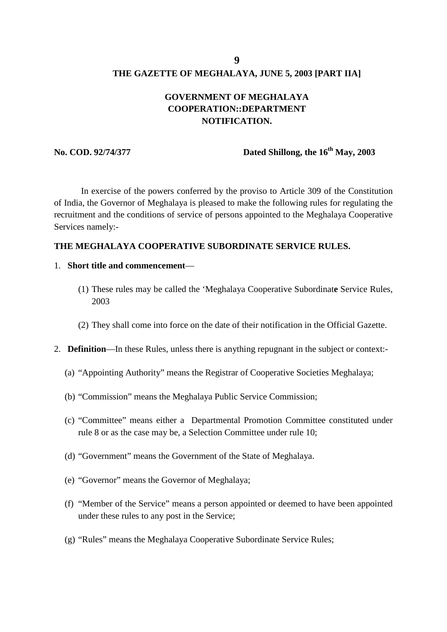#### **GOVERNMENT OF MEGHALAYA COOPERATION::DEPARTMENT NOTIFICATION.**

#### **No. COD. 92/74/377 Dated Shillong, the 16<sup>th</sup> May, 2003**

In exercise of the powers conferred by the proviso to Article 309 of the Constitution of India, the Governor of Meghalaya is pleased to make the following rules for regulating the recruitment and the conditions of service of persons appointed to the Meghalaya Cooperative Services namely:-

#### **THE MEGHALAYA COOPERATIVE SUBORDINATE SERVICE RULES.**

- 1. **Short title and commencement**
	- (1) These rules may be called the 'Meghalaya Cooperative Subordinat**e** Service Rules, 2003
	- (2) They shall come into force on the date of their notification in the Official Gazette.
- 2. **Definition**—In these Rules, unless there is anything repugnant in the subject or context:-
	- (a) "Appointing Authority" means the Registrar of Cooperative Societies Meghalaya;
	- (b) "Commission" means the Meghalaya Public Service Commission;
	- (c) "Committee" means either a Departmental Promotion Committee constituted under rule 8 or as the case may be, a Selection Committee under rule 10;
	- (d) "Government" means the Government of the State of Meghalaya.
	- (e) "Governor" means the Governor of Meghalaya;
	- (f) "Member of the Service" means a person appointed or deemed to have been appointed under these rules to any post in the Service;
	- (g) "Rules" means the Meghalaya Cooperative Subordinate Service Rules;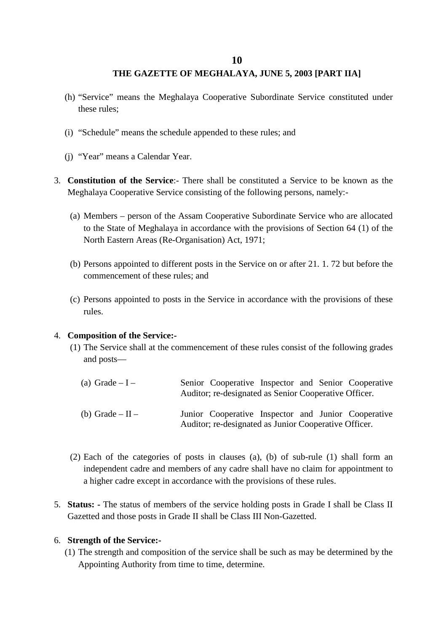- (h) "Service" means the Meghalaya Cooperative Subordinate Service constituted under these rules;
- (i) "Schedule" means the schedule appended to these rules; and
- (j) "Year" means a Calendar Year.
- 3. **Constitution of the Service**:- There shall be constituted a Service to be known as the Meghalaya Cooperative Service consisting of the following persons, namely:-
	- (a) Members person of the Assam Cooperative Subordinate Service who are allocated to the State of Meghalaya in accordance with the provisions of Section 64 (1) of the North Eastern Areas (Re-Organisation) Act, 1971;
	- (b) Persons appointed to different posts in the Service on or after 21. 1. 72 but before the commencement of these rules; and
	- (c) Persons appointed to posts in the Service in accordance with the provisions of these rules.

#### 4. **Composition of the Service:-**

- (1) The Service shall at the commencement of these rules consist of the following grades and posts—
	- (a) Grade  $-I -$ (b) Grade –  $II$  – Senior Cooperative Inspector and Senior Cooperative Auditor; re-designated as Senior Cooperative Officer. Junior Cooperative Inspector and Junior Cooperative Auditor; re-designated as Junior Cooperative Officer.
- (2) Each of the categories of posts in clauses (a), (b) of sub-rule (1) shall form an independent cadre and members of any cadre shall have no claim for appointment to a higher cadre except in accordance with the provisions of these rules.
- 5. **Status: -** The status of members of the service holding posts in Grade I shall be Class II Gazetted and those posts in Grade II shall be Class III Non-Gazetted.

#### 6. **Strength of the Service:-**

(1) The strength and composition of the service shall be such as may be determined by the Appointing Authority from time to time, determine.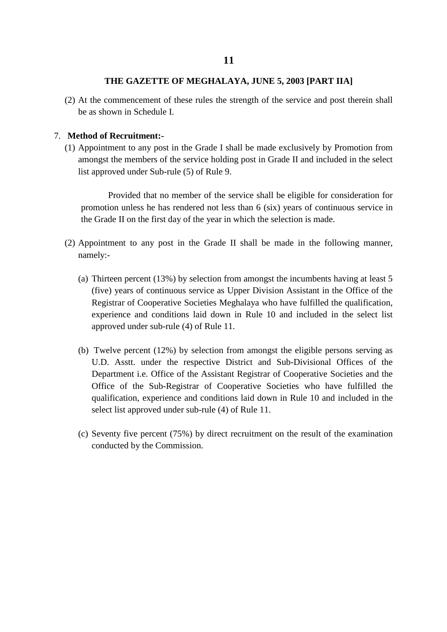(2) At the commencement of these rules the strength of the service and post therein shall be as shown in Schedule I.

#### 7. **Method of Recruitment:-**

(1) Appointment to any post in the Grade I shall be made exclusively by Promotion from amongst the members of the service holding post in Grade II and included in the select list approved under Sub-rule (5) of Rule 9.

Provided that no member of the service shall be eligible for consideration for promotion unless he has rendered not less than 6 (six) years of continuous service in the Grade II on the first day of the year in which the selection is made.

- (2) Appointment to any post in the Grade II shall be made in the following manner, namely:-
	- (a) Thirteen percent (13%) by selection from amongst the incumbents having at least 5 (five) years of continuous service as Upper Division Assistant in the Office of the Registrar of Cooperative Societies Meghalaya who have fulfilled the qualification, experience and conditions laid down in Rule 10 and included in the select list approved under sub-rule (4) of Rule 11.
	- (b) Twelve percent (12%) by selection from amongst the eligible persons serving as U.D. Asstt. under the respective District and Sub-Divisional Offices of the Department i.e. Office of the Assistant Registrar of Cooperative Societies and the Office of the Sub-Registrar of Cooperative Societies who have fulfilled the qualification, experience and conditions laid down in Rule 10 and included in the select list approved under sub-rule (4) of Rule 11.
	- (c) Seventy five percent (75%) by direct recruitment on the result of the examination conducted by the Commission.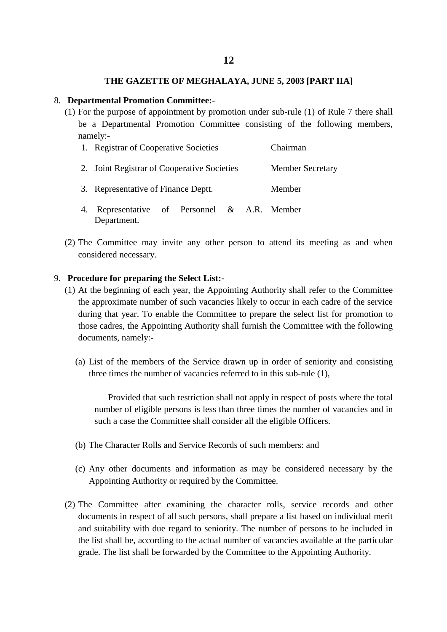#### 8. **Departmental Promotion Committee:-**

(1) For the purpose of appointment by promotion under sub-rule (1) of Rule 7 there shall be a Departmental Promotion Committee consisting of the following members, namely:-

|    | 1. Registrar of Cooperative Societies                    | Chairman                |  |  |  |  |
|----|----------------------------------------------------------|-------------------------|--|--|--|--|
|    | 2. Joint Registrar of Cooperative Societies              | <b>Member Secretary</b> |  |  |  |  |
|    | 3. Representative of Finance Deptt.                      | Member                  |  |  |  |  |
| 4. | Representative of Personnel & A.R. Member<br>Department. |                         |  |  |  |  |

(2) The Committee may invite any other person to attend its meeting as and when considered necessary.

#### 9. **Procedure for preparing the Select List:-**

- (1) At the beginning of each year, the Appointing Authority shall refer to the Committee the approximate number of such vacancies likely to occur in each cadre of the service during that year. To enable the Committee to prepare the select list for promotion to those cadres, the Appointing Authority shall furnish the Committee with the following documents, namely:-
	- (a) List of the members of the Service drawn up in order of seniority and consisting three times the number of vacancies referred to in this sub-rule (1),

Provided that such restriction shall not apply in respect of posts where the total number of eligible persons is less than three times the number of vacancies and in such a case the Committee shall consider all the eligible Officers.

- (b) The Character Rolls and Service Records of such members: and
- (c) Any other documents and information as may be considered necessary by the Appointing Authority or required by the Committee.
- (2) The Committee after examining the character rolls, service records and other documents in respect of all such persons, shall prepare a list based on individual merit and suitability with due regard to seniority. The number of persons to be included in the list shall be, according to the actual number of vacancies available at the particular grade. The list shall be forwarded by the Committee to the Appointing Authority.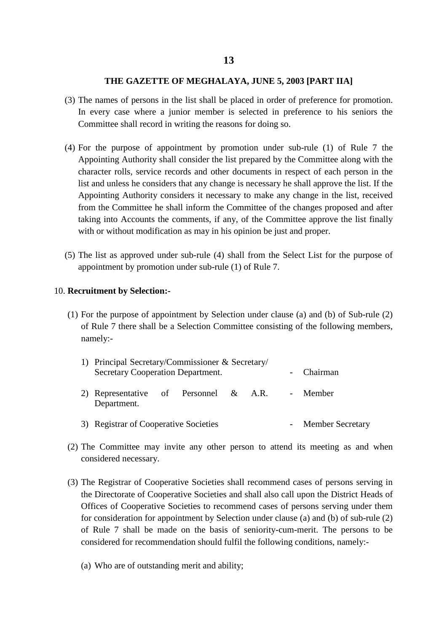- (3) The names of persons in the list shall be placed in order of preference for promotion. In every case where a junior member is selected in preference to his seniors the Committee shall record in writing the reasons for doing so.
- (4) For the purpose of appointment by promotion under sub-rule (1) of Rule 7 the Appointing Authority shall consider the list prepared by the Committee along with the character rolls, service records and other documents in respect of each person in the list and unless he considers that any change is necessary he shall approve the list. If the Appointing Authority considers it necessary to make any change in the list, received from the Committee he shall inform the Committee of the changes proposed and after taking into Accounts the comments, if any, of the Committee approve the list finally with or without modification as may in his opinion be just and proper.
- (5) The list as approved under sub-rule (4) shall from the Select List for the purpose of appointment by promotion under sub-rule (1) of Rule 7.

#### 10. **Recruitment by Selection:-**

(1) For the purpose of appointment by Selection under clause (a) and (b) of Sub-rule (2) of Rule 7 there shall be a Selection Committee consisting of the following members, namely:-

| 1) Principal Secretary/Commissioner & Secretary/<br>Secretary Cooperation Department. | - Chairman         |  |  |  |          |
|---------------------------------------------------------------------------------------|--------------------|--|--|--|----------|
| 2) Representative of Personnel & A.R.<br>Department.                                  |                    |  |  |  | - Member |
| 3) Registrar of Cooperative Societies                                                 | - Member Secretary |  |  |  |          |

- (2) The Committee may invite any other person to attend its meeting as and when considered necessary.
- (3) The Registrar of Cooperative Societies shall recommend cases of persons serving in the Directorate of Cooperative Societies and shall also call upon the District Heads of Offices of Cooperative Societies to recommend cases of persons serving under them for consideration for appointment by Selection under clause (a) and (b) of sub-rule (2) of Rule 7 shall be made on the basis of seniority-cum-merit. The persons to be considered for recommendation should fulfil the following conditions, namely:-
	- (a) Who are of outstanding merit and ability;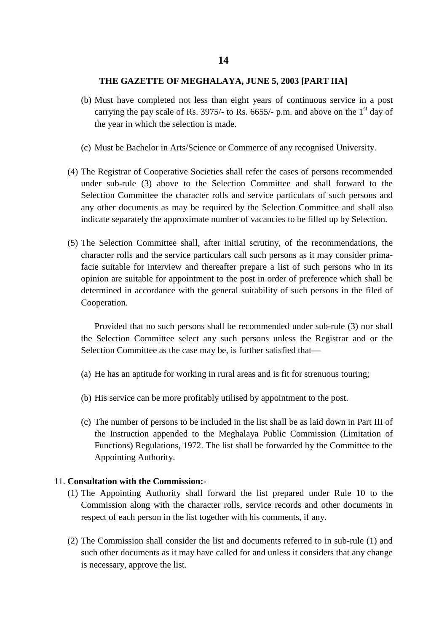- (b) Must have completed not less than eight years of continuous service in a post carrying the pay scale of Rs. 3975/- to Rs. 6655/- p.m. and above on the  $1<sup>st</sup>$  day of the year in which the selection is made.
- (c) Must be Bachelor in Arts/Science or Commerce of any recognised University.
- (4) The Registrar of Cooperative Societies shall refer the cases of persons recommended under sub-rule (3) above to the Selection Committee and shall forward to the Selection Committee the character rolls and service particulars of such persons and any other documents as may be required by the Selection Committee and shall also indicate separately the approximate number of vacancies to be filled up by Selection.
- (5) The Selection Committee shall, after initial scrutiny, of the recommendations, the character rolls and the service particulars call such persons as it may consider primafacie suitable for interview and thereafter prepare a list of such persons who in its opinion are suitable for appointment to the post in order of preference which shall be determined in accordance with the general suitability of such persons in the filed of Cooperation.

Provided that no such persons shall be recommended under sub-rule (3) nor shall the Selection Committee select any such persons unless the Registrar and or the Selection Committee as the case may be, is further satisfied that—

- (a) He has an aptitude for working in rural areas and is fit for strenuous touring;
- (b) His service can be more profitably utilised by appointment to the post.
- (c) The number of persons to be included in the list shall be as laid down in Part III of the Instruction appended to the Meghalaya Public Commission (Limitation of Functions) Regulations, 1972. The list shall be forwarded by the Committee to the Appointing Authority.

#### 11. **Consultation with the Commission:-**

- (1) The Appointing Authority shall forward the list prepared under Rule 10 to the Commission along with the character rolls, service records and other documents in respect of each person in the list together with his comments, if any.
- (2) The Commission shall consider the list and documents referred to in sub-rule (1) and such other documents as it may have called for and unless it considers that any change is necessary, approve the list.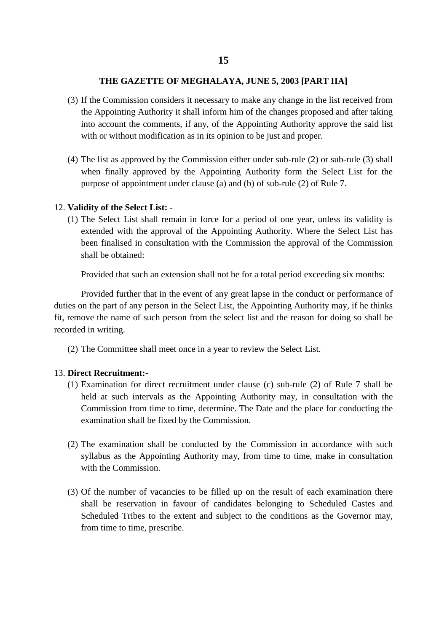- (3) If the Commission considers it necessary to make any change in the list received from the Appointing Authority it shall inform him of the changes proposed and after taking into account the comments, if any, of the Appointing Authority approve the said list with or without modification as in its opinion to be just and proper.
- (4) The list as approved by the Commission either under sub-rule (2) or sub-rule (3) shall when finally approved by the Appointing Authority form the Select List for the purpose of appointment under clause (a) and (b) of sub-rule (2) of Rule 7.

#### 12. **Validity of the Select List: -**

(1) The Select List shall remain in force for a period of one year, unless its validity is extended with the approval of the Appointing Authority. Where the Select List has been finalised in consultation with the Commission the approval of the Commission shall be obtained:

Provided that such an extension shall not be for a total period exceeding six months:

Provided further that in the event of any great lapse in the conduct or performance of duties on the part of any person in the Select List, the Appointing Authority may, if he thinks fit, remove the name of such person from the select list and the reason for doing so shall be recorded in writing.

(2) The Committee shall meet once in a year to review the Select List.

#### 13. **Direct Recruitment:-**

- (1) Examination for direct recruitment under clause (c) sub-rule (2) of Rule 7 shall be held at such intervals as the Appointing Authority may, in consultation with the Commission from time to time, determine. The Date and the place for conducting the examination shall be fixed by the Commission.
- (2) The examination shall be conducted by the Commission in accordance with such syllabus as the Appointing Authority may, from time to time, make in consultation with the Commission.
- (3) Of the number of vacancies to be filled up on the result of each examination there shall be reservation in favour of candidates belonging to Scheduled Castes and Scheduled Tribes to the extent and subject to the conditions as the Governor may, from time to time, prescribe.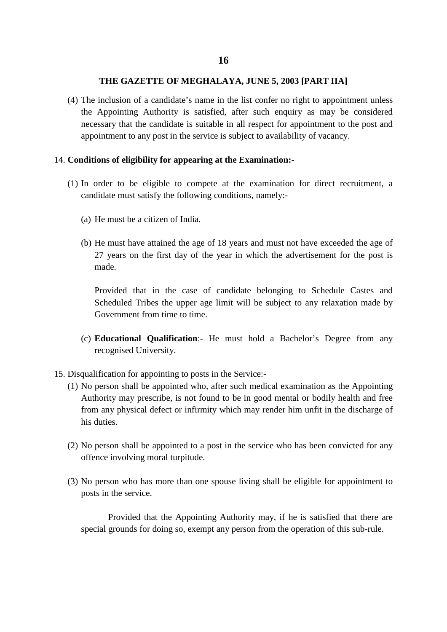(4) The inclusion of a candidate's name in the list confer no right to appointment unless the Appointing Authority is satisfied, after such enquiry as may be considered necessary that the candidate is suitable in all respect for appointment to the post and appointment to any post in the service is subject to availability of vacancy.

#### 14. **Conditions of eligibility for appearing at the Examination:-**

- (1) In order to be eligible to compete at the examination for direct recruitment, a candidate must satisfy the following conditions, namely:-
	- (a) He must be a citizen of India.
	- (b) He must have attained the age of 18 years and must not have exceeded the age of 27 years on the first day of the year in which the advertisement for the post is made.

Provided that in the case of candidate belonging to Schedule Castes and Scheduled Tribes the upper age limit will be subject to any relaxation made by Government from time to time.

- (c) **Educational Qualification**:- He must hold a Bachelor's Degree from any recognised University.
- 15. Disqualification for appointing to posts in the Service:-
	- (1) No person shall be appointed who, after such medical examination as the Appointing Authority may prescribe, is not found to be in good mental or bodily health and free from any physical defect or infirmity which may render him unfit in the discharge of his duties.
	- (2) No person shall be appointed to a post in the service who has been convicted for any offence involving moral turpitude.
	- (3) No person who has more than one spouse living shall be eligible for appointment to posts in the service.

Provided that the Appointing Authority may, if he is satisfied that there are special grounds for doing so, exempt any person from the operation of this sub-rule.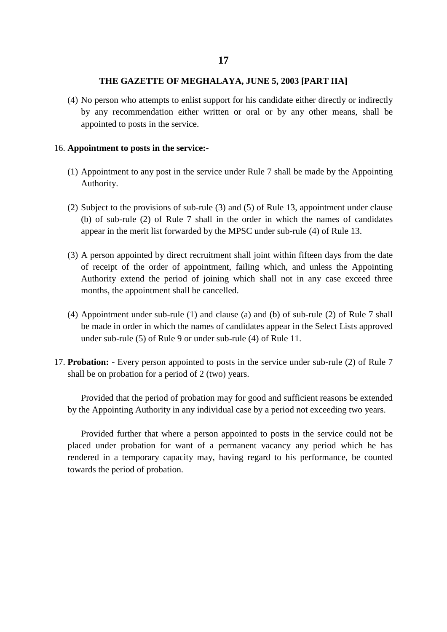(4) No person who attempts to enlist support for his candidate either directly or indirectly by any recommendation either written or oral or by any other means, shall be appointed to posts in the service.

#### 16. **Appointment to posts in the service:-**

- (1) Appointment to any post in the service under Rule 7 shall be made by the Appointing Authority.
- (2) Subject to the provisions of sub-rule (3) and (5) of Rule 13, appointment under clause (b) of sub-rule (2) of Rule 7 shall in the order in which the names of candidates appear in the merit list forwarded by the MPSC under sub-rule (4) of Rule 13.
- (3) A person appointed by direct recruitment shall joint within fifteen days from the date of receipt of the order of appointment, failing which, and unless the Appointing Authority extend the period of joining which shall not in any case exceed three months, the appointment shall be cancelled.
- (4) Appointment under sub-rule (1) and clause (a) and (b) of sub-rule (2) of Rule 7 shall be made in order in which the names of candidates appear in the Select Lists approved under sub-rule (5) of Rule 9 or under sub-rule (4) of Rule 11.
- 17. **Probation:** Every person appointed to posts in the service under sub-rule (2) of Rule 7 shall be on probation for a period of 2 (two) years.

Provided that the period of probation may for good and sufficient reasons be extended by the Appointing Authority in any individual case by a period not exceeding two years.

Provided further that where a person appointed to posts in the service could not be placed under probation for want of a permanent vacancy any period which he has rendered in a temporary capacity may, having regard to his performance, be counted towards the period of probation.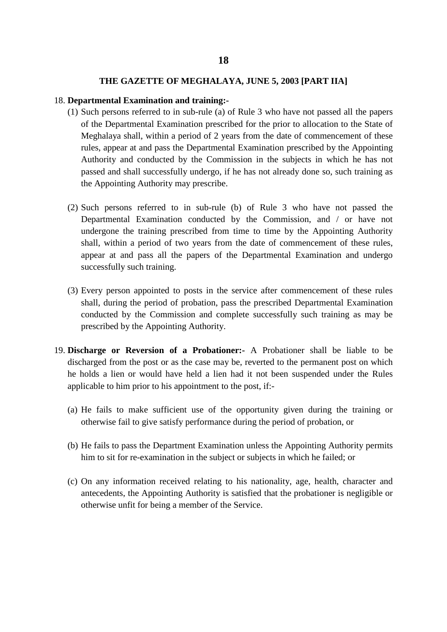#### 18. **Departmental Examination and training:-**

- (1) Such persons referred to in sub-rule (a) of Rule 3 who have not passed all the papers of the Departmental Examination prescribed for the prior to allocation to the State of Meghalaya shall, within a period of 2 years from the date of commencement of these rules, appear at and pass the Departmental Examination prescribed by the Appointing Authority and conducted by the Commission in the subjects in which he has not passed and shall successfully undergo, if he has not already done so, such training as the Appointing Authority may prescribe.
- (2) Such persons referred to in sub-rule (b) of Rule 3 who have not passed the Departmental Examination conducted by the Commission, and / or have not undergone the training prescribed from time to time by the Appointing Authority shall, within a period of two years from the date of commencement of these rules, appear at and pass all the papers of the Departmental Examination and undergo successfully such training.
- (3) Every person appointed to posts in the service after commencement of these rules shall, during the period of probation, pass the prescribed Departmental Examination conducted by the Commission and complete successfully such training as may be prescribed by the Appointing Authority.
- 19. **Discharge or Reversion of a Probationer:-** A Probationer shall be liable to be discharged from the post or as the case may be, reverted to the permanent post on which he holds a lien or would have held a lien had it not been suspended under the Rules applicable to him prior to his appointment to the post, if:-
	- (a) He fails to make sufficient use of the opportunity given during the training or otherwise fail to give satisfy performance during the period of probation, or
	- (b) He fails to pass the Department Examination unless the Appointing Authority permits him to sit for re-examination in the subject or subjects in which he failed; or
	- (c) On any information received relating to his nationality, age, health, character and antecedents, the Appointing Authority is satisfied that the probationer is negligible or otherwise unfit for being a member of the Service.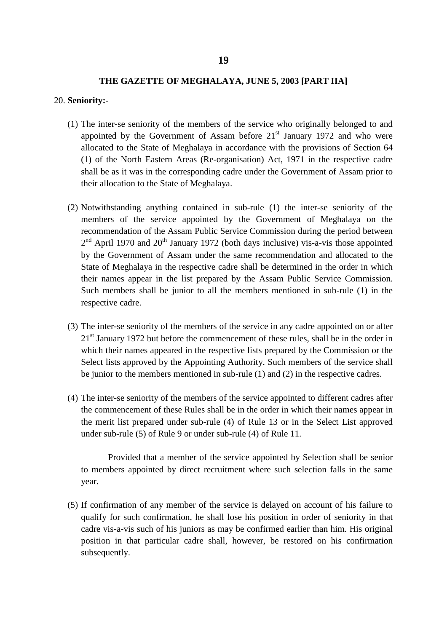#### 20. **Seniority:-**

- (1) The inter-se seniority of the members of the service who originally belonged to and appointed by the Government of Assam before  $21<sup>st</sup>$  January 1972 and who were allocated to the State of Meghalaya in accordance with the provisions of Section 64 (1) of the North Eastern Areas (Re-organisation) Act, 1971 in the respective cadre shall be as it was in the corresponding cadre under the Government of Assam prior to their allocation to the State of Meghalaya.
- (2) Notwithstanding anything contained in sub-rule (1) the inter-se seniority of the members of the service appointed by the Government of Meghalaya on the recommendation of the Assam Public Service Commission during the period between  $2<sup>nd</sup>$  April 1970 and  $20<sup>th</sup>$  January 1972 (both days inclusive) vis-a-vis those appointed by the Government of Assam under the same recommendation and allocated to the State of Meghalaya in the respective cadre shall be determined in the order in which their names appear in the list prepared by the Assam Public Service Commission. Such members shall be junior to all the members mentioned in sub-rule (1) in the respective cadre.
- (3) The inter-se seniority of the members of the service in any cadre appointed on or after 21<sup>st</sup> January 1972 but before the commencement of these rules, shall be in the order in which their names appeared in the respective lists prepared by the Commission or the Select lists approved by the Appointing Authority. Such members of the service shall be junior to the members mentioned in sub-rule (1) and (2) in the respective cadres.
- (4) The inter-se seniority of the members of the service appointed to different cadres after the commencement of these Rules shall be in the order in which their names appear in the merit list prepared under sub-rule (4) of Rule 13 or in the Select List approved under sub-rule (5) of Rule 9 or under sub-rule (4) of Rule 11.

Provided that a member of the service appointed by Selection shall be senior to members appointed by direct recruitment where such selection falls in the same year.

(5) If confirmation of any member of the service is delayed on account of his failure to qualify for such confirmation, he shall lose his position in order of seniority in that cadre vis-a-vis such of his juniors as may be confirmed earlier than him. His original position in that particular cadre shall, however, be restored on his confirmation subsequently.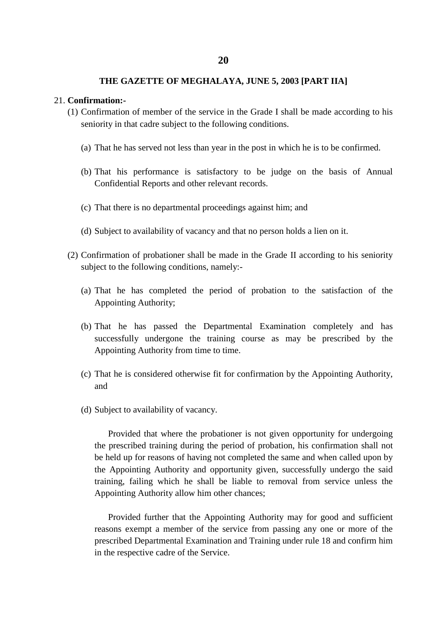#### 21. **Confirmation:-**

- (1) Confirmation of member of the service in the Grade I shall be made according to his seniority in that cadre subject to the following conditions.
	- (a) That he has served not less than year in the post in which he is to be confirmed.
	- (b) That his performance is satisfactory to be judge on the basis of Annual Confidential Reports and other relevant records.
	- (c) That there is no departmental proceedings against him; and
	- (d) Subject to availability of vacancy and that no person holds a lien on it.
- (2) Confirmation of probationer shall be made in the Grade II according to his seniority subject to the following conditions, namely:-
	- (a) That he has completed the period of probation to the satisfaction of the Appointing Authority;
	- (b) That he has passed the Departmental Examination completely and has successfully undergone the training course as may be prescribed by the Appointing Authority from time to time.
	- (c) That he is considered otherwise fit for confirmation by the Appointing Authority, and
	- (d) Subject to availability of vacancy.

Provided that where the probationer is not given opportunity for undergoing the prescribed training during the period of probation, his confirmation shall not be held up for reasons of having not completed the same and when called upon by the Appointing Authority and opportunity given, successfully undergo the said training, failing which he shall be liable to removal from service unless the Appointing Authority allow him other chances;

Provided further that the Appointing Authority may for good and sufficient reasons exempt a member of the service from passing any one or more of the prescribed Departmental Examination and Training under rule 18 and confirm him in the respective cadre of the Service.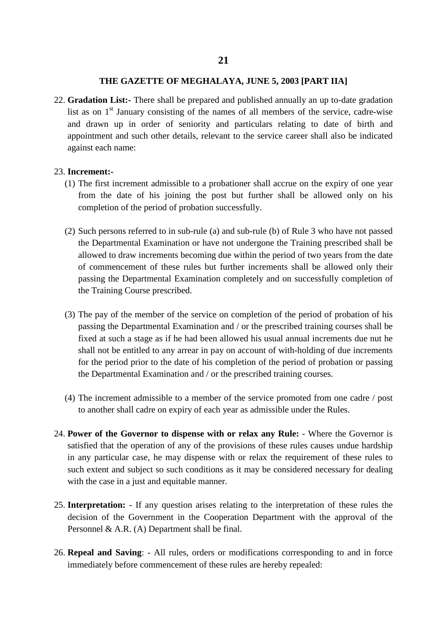22. **Gradation List:-** There shall be prepared and published annually an up to-date gradation list as on  $1<sup>st</sup>$  January consisting of the names of all members of the service, cadre-wise and drawn up in order of seniority and particulars relating to date of birth and appointment and such other details, relevant to the service career shall also be indicated against each name:

#### 23. **Increment:-**

- (1) The first increment admissible to a probationer shall accrue on the expiry of one year from the date of his joining the post but further shall be allowed only on his completion of the period of probation successfully.
- (2) Such persons referred to in sub-rule (a) and sub-rule (b) of Rule 3 who have not passed the Departmental Examination or have not undergone the Training prescribed shall be allowed to draw increments becoming due within the period of two years from the date of commencement of these rules but further increments shall be allowed only their passing the Departmental Examination completely and on successfully completion of the Training Course prescribed.
- (3) The pay of the member of the service on completion of the period of probation of his passing the Departmental Examination and / or the prescribed training courses shall be fixed at such a stage as if he had been allowed his usual annual increments due nut he shall not be entitled to any arrear in pay on account of with-holding of due increments for the period prior to the date of his completion of the period of probation or passing the Departmental Examination and / or the prescribed training courses.
- (4) The increment admissible to a member of the service promoted from one cadre / post to another shall cadre on expiry of each year as admissible under the Rules.
- 24. **Power of the Governor to dispense with or relax any Rule:** Where the Governor is satisfied that the operation of any of the provisions of these rules causes undue hardship in any particular case, he may dispense with or relax the requirement of these rules to such extent and subject so such conditions as it may be considered necessary for dealing with the case in a just and equitable manner.
- 25. **Interpretation:** If any question arises relating to the interpretation of these rules the decision of the Government in the Cooperation Department with the approval of the Personnel & A.R. (A) Department shall be final.
- 26. **Repeal and Saving**: All rules, orders or modifications corresponding to and in force immediately before commencement of these rules are hereby repealed: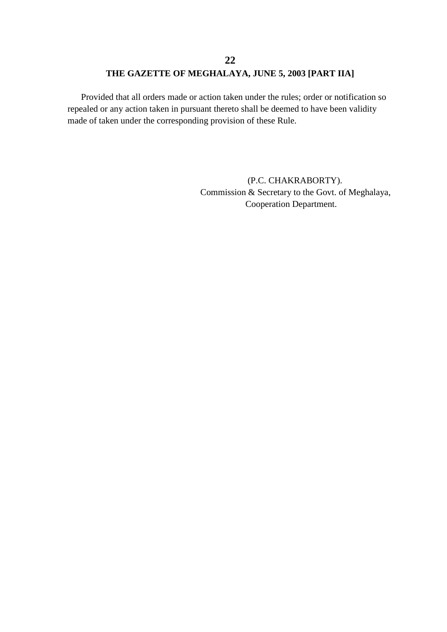Provided that all orders made or action taken under the rules; order or notification so repealed or any action taken in pursuant thereto shall be deemed to have been validity made of taken under the corresponding provision of these Rule.

> (P.C. CHAKRABORTY). Commission & Secretary to the Govt. of Meghalaya, Cooperation Department.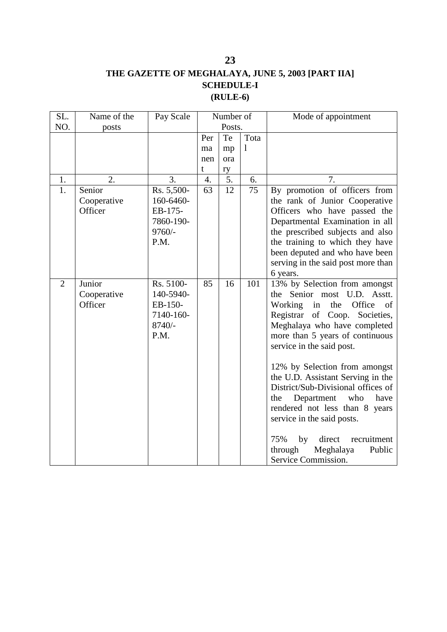## **THE GAZETTE OF MEGHALAYA, JUNE 5, 2003 [PART IIA] SCHEDULE-I (RULE-6)**

| SL.            | Name of the                      | Pay Scale                                                          | Number of |                  |      | Mode of appointment                                                                                                                                                                                                                                                                                                                                                                                                        |
|----------------|----------------------------------|--------------------------------------------------------------------|-----------|------------------|------|----------------------------------------------------------------------------------------------------------------------------------------------------------------------------------------------------------------------------------------------------------------------------------------------------------------------------------------------------------------------------------------------------------------------------|
| NO.            | posts                            |                                                                    |           | Posts.           |      |                                                                                                                                                                                                                                                                                                                                                                                                                            |
|                |                                  |                                                                    | Per       | Te               | Tota |                                                                                                                                                                                                                                                                                                                                                                                                                            |
|                |                                  |                                                                    | ma        | mp               | 1    |                                                                                                                                                                                                                                                                                                                                                                                                                            |
|                |                                  |                                                                    | nen       | ora              |      |                                                                                                                                                                                                                                                                                                                                                                                                                            |
|                |                                  |                                                                    | t         | ry               |      |                                                                                                                                                                                                                                                                                                                                                                                                                            |
| 1.             | 2.                               | 3.                                                                 | 4.        | $\overline{5}$ . | 6.   | 7.                                                                                                                                                                                                                                                                                                                                                                                                                         |
| 1.             | Senior                           | Rs. 5,500-                                                         | 63        | 12               | 75   | By promotion of officers from                                                                                                                                                                                                                                                                                                                                                                                              |
|                | Cooperative                      | 160-6460-                                                          |           |                  |      | the rank of Junior Cooperative                                                                                                                                                                                                                                                                                                                                                                                             |
|                | Officer                          | EB-175-                                                            |           |                  |      | Officers who have passed the                                                                                                                                                                                                                                                                                                                                                                                               |
|                |                                  | 7860-190-                                                          |           |                  |      | Departmental Examination in all                                                                                                                                                                                                                                                                                                                                                                                            |
|                |                                  | $9760/-$                                                           |           |                  |      | the prescribed subjects and also                                                                                                                                                                                                                                                                                                                                                                                           |
|                |                                  | P.M.                                                               |           |                  |      | the training to which they have                                                                                                                                                                                                                                                                                                                                                                                            |
|                |                                  |                                                                    |           |                  |      | been deputed and who have been                                                                                                                                                                                                                                                                                                                                                                                             |
|                |                                  |                                                                    |           |                  |      | serving in the said post more than                                                                                                                                                                                                                                                                                                                                                                                         |
|                |                                  |                                                                    |           |                  |      | 6 years.                                                                                                                                                                                                                                                                                                                                                                                                                   |
| $\overline{2}$ | Junior<br>Cooperative<br>Officer | Rs. 5100-<br>140-5940-<br>EB-150-<br>7140-160-<br>$8740/-$<br>P.M. | 85        | 16               | 101  | 13% by Selection from amongst<br>Senior most U.D.<br>the<br>Asstt.<br>Working<br>in the Office<br>of<br>Registrar of Coop.<br>Societies,<br>Meghalaya who have completed<br>more than 5 years of continuous<br>service in the said post.<br>12% by Selection from amongst<br>the U.D. Assistant Serving in the<br>District/Sub-Divisional offices of<br>the<br>Department<br>who<br>have<br>rendered not less than 8 years |
|                |                                  |                                                                    |           |                  |      | service in the said posts.<br>direct<br>75%<br>by<br>recruitment<br>through<br>Meghalaya<br>Public<br>Service Commission.                                                                                                                                                                                                                                                                                                  |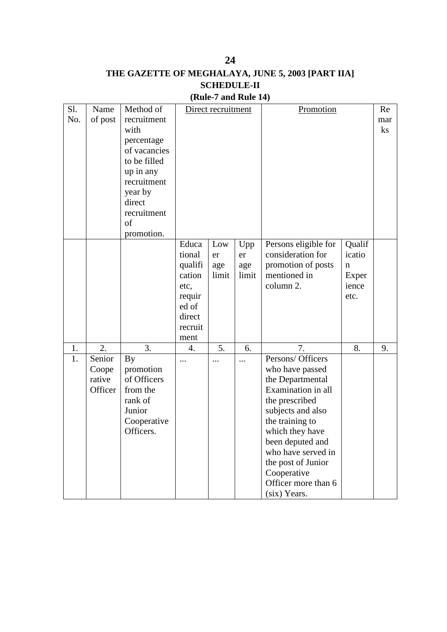# **THE GAZETTE OF MEGHALAYA, JUNE 5, 2003 [PART IIA] SCHEDULE-II**

**24**

**(Rule-7 and Rule 14)**

| Sl. | Name    | Method of    |         | Direct recruitment |       | Promotion            | Re          |          |
|-----|---------|--------------|---------|--------------------|-------|----------------------|-------------|----------|
| No. | of post | recruitment  |         |                    |       |                      |             | mar      |
|     |         | with         |         |                    |       |                      |             | $\rm ks$ |
|     |         | percentage   |         |                    |       |                      |             |          |
|     |         | of vacancies |         |                    |       |                      |             |          |
|     |         | to be filled |         |                    |       |                      |             |          |
|     |         | up in any    |         |                    |       |                      |             |          |
|     |         | recruitment  |         |                    |       |                      |             |          |
|     |         | year by      |         |                    |       |                      |             |          |
|     |         | direct       |         |                    |       |                      |             |          |
|     |         | recruitment  |         |                    |       |                      |             |          |
|     |         | of           |         |                    |       |                      |             |          |
|     |         | promotion.   |         |                    |       |                      |             |          |
|     |         |              | Educa   | Low                | Upp   | Persons eligible for | Qualif      |          |
|     |         |              | tional  | er                 | er    | consideration for    | icatio      |          |
|     |         |              | qualifi | age                | age   | promotion of posts   | $\mathbf n$ |          |
|     |         |              | cation  | limit              | limit | mentioned in         | Exper       |          |
|     |         |              | etc,    |                    |       | column 2.            | ience       |          |
|     |         |              | requir  |                    |       |                      | etc.        |          |
|     |         |              | ed of   |                    |       |                      |             |          |
|     |         |              | direct  |                    |       |                      |             |          |
|     |         |              | recruit |                    |       |                      |             |          |
|     |         |              | ment    |                    |       |                      |             |          |
| 1.  | 2.      | 3.           | 4.      | 5.                 | 6.    | 7.                   | 8.          | 9.       |
| 1.  | Senior  | <b>By</b>    |         |                    |       | Persons/ Officers    |             |          |
|     | Coope   | promotion    |         |                    |       | who have passed      |             |          |
|     | rative  | of Officers  |         |                    |       | the Departmental     |             |          |
|     | Officer | from the     |         |                    |       | Examination in all   |             |          |
|     |         | rank of      |         |                    |       | the prescribed       |             |          |
|     |         | Junior       |         |                    |       | subjects and also    |             |          |
|     |         | Cooperative  |         |                    |       | the training to      |             |          |
|     |         | Officers.    |         |                    |       | which they have      |             |          |
|     |         |              |         |                    |       | been deputed and     |             |          |
|     |         |              |         |                    |       | who have served in   |             |          |
|     |         |              |         |                    |       | the post of Junior   |             |          |
|     |         |              |         |                    |       | Cooperative          |             |          |
|     |         |              |         |                    |       | Officer more than 6  |             |          |
|     |         |              |         |                    |       | (six) Years.         |             |          |